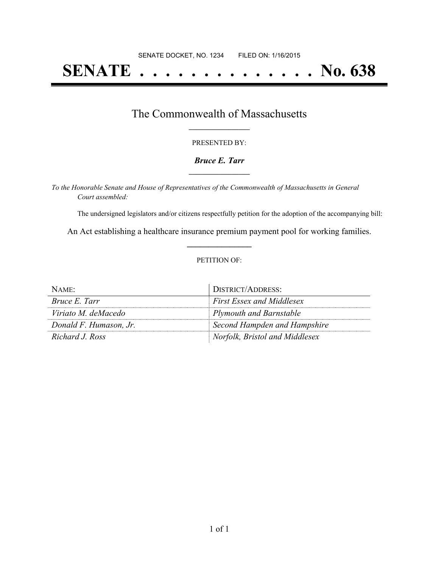# **SENATE . . . . . . . . . . . . . . No. 638**

### The Commonwealth of Massachusetts **\_\_\_\_\_\_\_\_\_\_\_\_\_\_\_\_\_**

#### PRESENTED BY:

#### *Bruce E. Tarr* **\_\_\_\_\_\_\_\_\_\_\_\_\_\_\_\_\_**

*To the Honorable Senate and House of Representatives of the Commonwealth of Massachusetts in General Court assembled:*

The undersigned legislators and/or citizens respectfully petition for the adoption of the accompanying bill:

An Act establishing a healthcare insurance premium payment pool for working families. **\_\_\_\_\_\_\_\_\_\_\_\_\_\_\_**

#### PETITION OF:

| NAME:                  | DISTRICT/ADDRESS:                |
|------------------------|----------------------------------|
| <i>Bruce E. Tarr</i>   | <b>First Essex and Middlesex</b> |
| Viriato M. deMacedo    | Plymouth and Barnstable          |
| Donald F. Humason, Jr. | Second Hampden and Hampshire     |
| Richard J. Ross        | Norfolk, Bristol and Middlesex   |